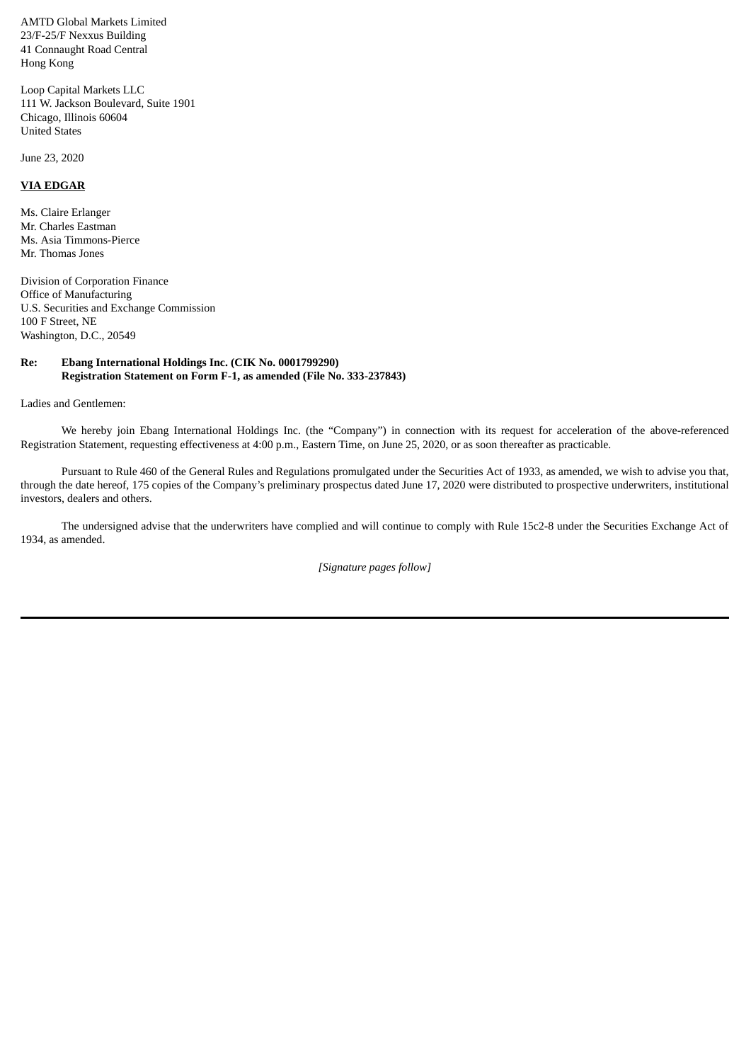AMTD Global Markets Limited 23/F-25/F Nexxus Building 41 Connaught Road Central Hong Kong

Loop Capital Markets LLC 111 W. Jackson Boulevard, Suite 1901 Chicago, Illinois 60604 United States

June 23, 2020

## **VIA EDGAR**

Ms. Claire Erlanger Mr. Charles Eastman Ms. Asia Timmons-Pierce Mr. Thomas Jones

Division of Corporation Finance Office of Manufacturing U.S. Securities and Exchange Commission 100 F Street, NE Washington, D.C., 20549

## **Re: Ebang International Holdings Inc. (CIK No. 0001799290) Registration Statement on Form F-1, as amended (File No. 333-237843)**

Ladies and Gentlemen:

We hereby join Ebang International Holdings Inc. (the "Company") in connection with its request for acceleration of the above-referenced Registration Statement, requesting effectiveness at 4:00 p.m., Eastern Time, on June 25, 2020, or as soon thereafter as practicable.

Pursuant to Rule 460 of the General Rules and Regulations promulgated under the Securities Act of 1933, as amended, we wish to advise you that, through the date hereof, 175 copies of the Company's preliminary prospectus dated June 17, 2020 were distributed to prospective underwriters, institutional investors, dealers and others.

The undersigned advise that the underwriters have complied and will continue to comply with Rule 15c2-8 under the Securities Exchange Act of 1934, as amended.

*[Signature pages follow]*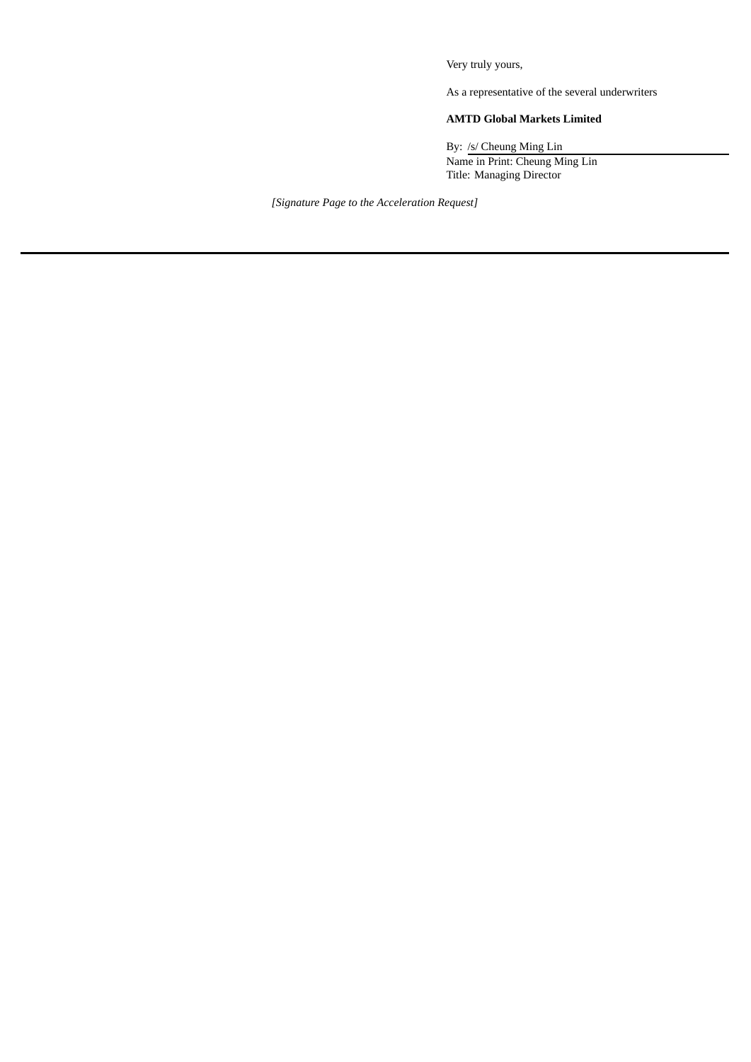Very truly yours,

As a representative of the several underwriters

## **AMTD Global Markets Limited**

By: /s/ Cheung Ming Lin Name in Print: Cheung Ming Lin Title: Managing Director

*[Signature Page to the Acceleration Request]*